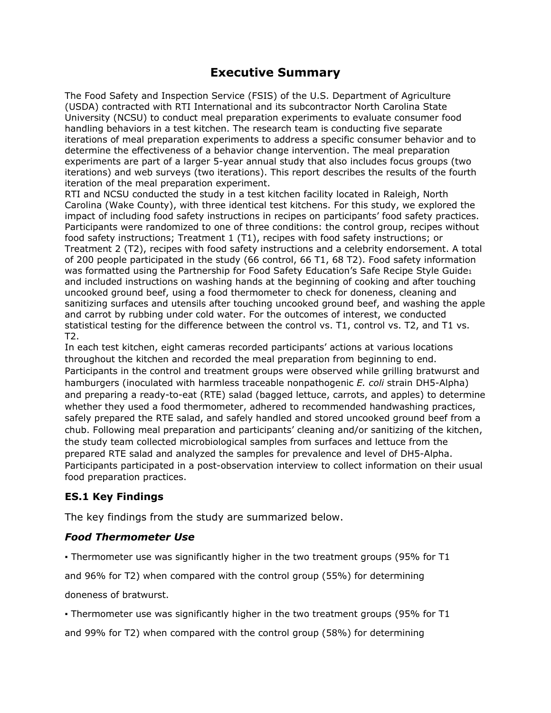# **Executive Summary**

The Food Safety and Inspection Service (FSIS) of the U.S. Department of Agriculture (USDA) contracted with RTI International and its subcontractor North Carolina State University (NCSU) to conduct meal preparation experiments to evaluate consumer food handling behaviors in a test kitchen. The research team is conducting five separate iterations of meal preparation experiments to address a specific consumer behavior and to determine the effectiveness of a behavior change intervention. The meal preparation experiments are part of a larger 5-year annual study that also includes focus groups (two iterations) and web surveys (two iterations). This report describes the results of the fourth iteration of the meal preparation experiment.

RTI and NCSU conducted the study in a test kitchen facility located in Raleigh, North Carolina (Wake County), with three identical test kitchens. For this study, we explored the impact of including food safety instructions in recipes on participants' food safety practices. Participants were randomized to one of three conditions: the control group, recipes without food safety instructions; Treatment 1 (T1), recipes with food safety instructions; or Treatment 2 (T2), recipes with food safety instructions and a celebrity endorsement. A total of 200 people participated in the study (66 control, 66 T1, 68 T2). Food safety information was formatted using the Partnership for Food Safety Education's Safe Recipe Style Guide1 and included instructions on washing hands at the beginning of cooking and after touching uncooked ground beef, using a food thermometer to check for doneness, cleaning and sanitizing surfaces and utensils after touching uncooked ground beef, and washing the apple and carrot by rubbing under cold water. For the outcomes of interest, we conducted statistical testing for the difference between the control vs. T1, control vs. T2, and T1 vs. T2.

In each test kitchen, eight cameras recorded participants' actions at various locations throughout the kitchen and recorded the meal preparation from beginning to end. Participants in the control and treatment groups were observed while grilling bratwurst and hamburgers (inoculated with harmless traceable nonpathogenic *E. coli* strain DH5-Alpha) and preparing a ready-to-eat (RTE) salad (bagged lettuce, carrots, and apples) to determine whether they used a food thermometer, adhered to recommended handwashing practices, safely prepared the RTE salad, and safely handled and stored uncooked ground beef from a chub. Following meal preparation and participants' cleaning and/or sanitizing of the kitchen, the study team collected microbiological samples from surfaces and lettuce from the prepared RTE salad and analyzed the samples for prevalence and level of DH5-Alpha. Participants participated in a post-observation interview to collect information on their usual food preparation practices.

## **ES.1 Key Findings**

The key findings from the study are summarized below.

## *Food Thermometer Use*

▪ Thermometer use was significantly higher in the two treatment groups (95% for T1

and 96% for T2) when compared with the control group (55%) for determining

doneness of bratwurst.

▪ Thermometer use was significantly higher in the two treatment groups (95% for T1

and 99% for T2) when compared with the control group (58%) for determining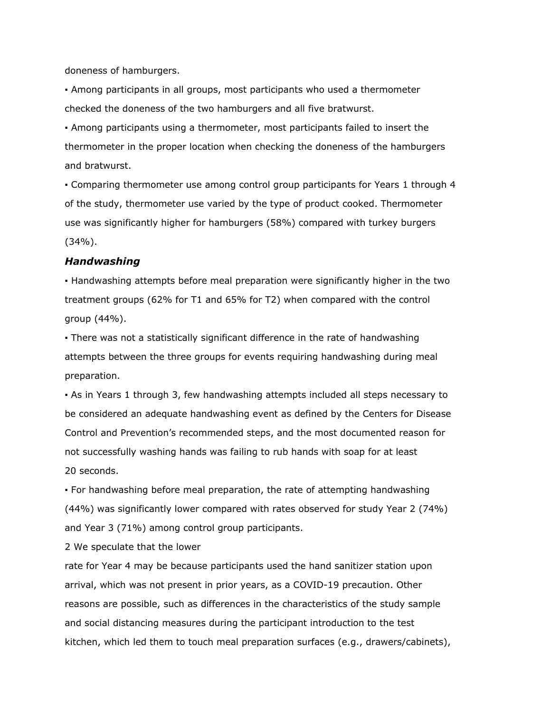doneness of hamburgers.

▪ Among participants in all groups, most participants who used a thermometer checked the doneness of the two hamburgers and all five bratwurst.

▪ Among participants using a thermometer, most participants failed to insert the thermometer in the proper location when checking the doneness of the hamburgers and bratwurst.

▪ Comparing thermometer use among control group participants for Years 1 through 4 of the study, thermometer use varied by the type of product cooked. Thermometer use was significantly higher for hamburgers (58%) compared with turkey burgers (34%).

## *Handwashing*

▪ Handwashing attempts before meal preparation were significantly higher in the two treatment groups (62% for T1 and 65% for T2) when compared with the control group (44%).

▪ There was not a statistically significant difference in the rate of handwashing attempts between the three groups for events requiring handwashing during meal preparation.

▪ As in Years 1 through 3, few handwashing attempts included all steps necessary to be considered an adequate handwashing event as defined by the Centers for Disease Control and Prevention's recommended steps, and the most documented reason for not successfully washing hands was failing to rub hands with soap for at least 20 seconds.

▪ For handwashing before meal preparation, the rate of attempting handwashing (44%) was significantly lower compared with rates observed for study Year 2 (74%) and Year 3 (71%) among control group participants.

2 We speculate that the lower

rate for Year 4 may be because participants used the hand sanitizer station upon arrival, which was not present in prior years, as a COVID-19 precaution. Other reasons are possible, such as differences in the characteristics of the study sample and social distancing measures during the participant introduction to the test kitchen, which led them to touch meal preparation surfaces (e.g., drawers/cabinets),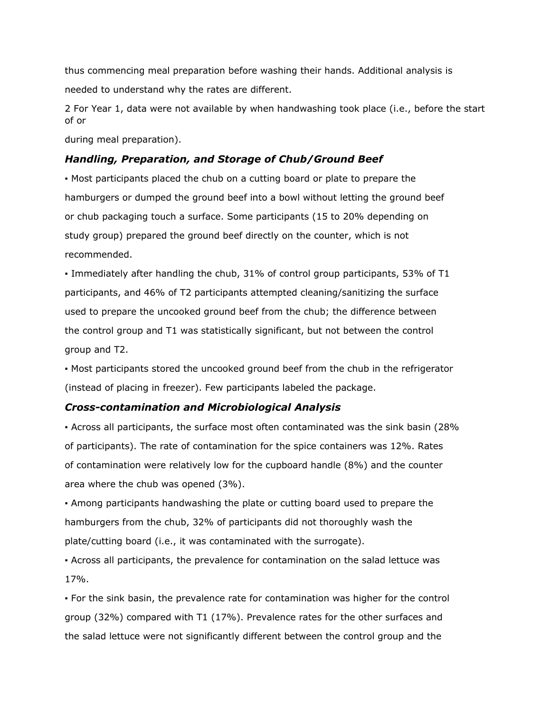thus commencing meal preparation before washing their hands. Additional analysis is needed to understand why the rates are different.

2 For Year 1, data were not available by when handwashing took place (i.e., before the start of or

during meal preparation).

# *Handling, Preparation, and Storage of Chub/Ground Beef*

▪ Most participants placed the chub on a cutting board or plate to prepare the hamburgers or dumped the ground beef into a bowl without letting the ground beef or chub packaging touch a surface. Some participants (15 to 20% depending on study group) prepared the ground beef directly on the counter, which is not recommended.

▪ Immediately after handling the chub, 31% of control group participants, 53% of T1 participants, and 46% of T2 participants attempted cleaning/sanitizing the surface used to prepare the uncooked ground beef from the chub; the difference between the control group and T1 was statistically significant, but not between the control group and T2.

▪ Most participants stored the uncooked ground beef from the chub in the refrigerator (instead of placing in freezer). Few participants labeled the package.

## *Cross-contamination and Microbiological Analysis*

▪ Across all participants, the surface most often contaminated was the sink basin (28% of participants). The rate of contamination for the spice containers was 12%. Rates of contamination were relatively low for the cupboard handle (8%) and the counter area where the chub was opened (3%).

▪ Among participants handwashing the plate or cutting board used to prepare the hamburgers from the chub, 32% of participants did not thoroughly wash the plate/cutting board (i.e., it was contaminated with the surrogate).

▪ Across all participants, the prevalence for contamination on the salad lettuce was 17%.

▪ For the sink basin, the prevalence rate for contamination was higher for the control group (32%) compared with T1 (17%). Prevalence rates for the other surfaces and the salad lettuce were not significantly different between the control group and the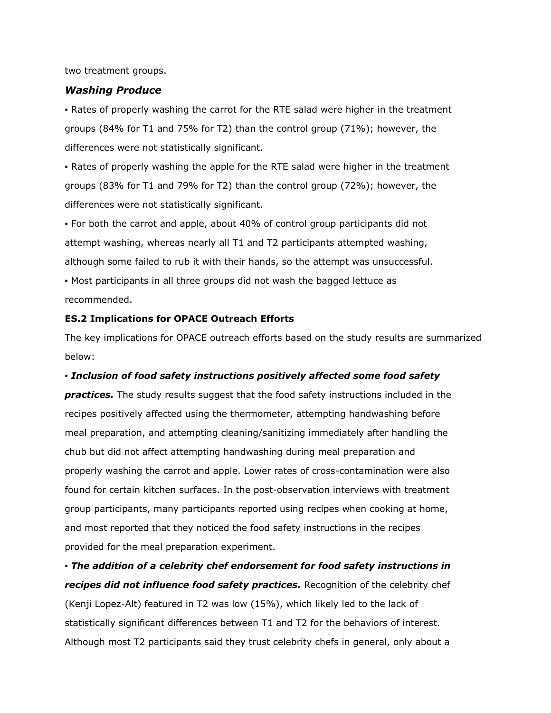two treatment groups.

### *Washing Produce*

• Rates of properly washing the carrot for the RTE salad were higher in the treatment groups (84% for T1 and 75% for T2) than the control group (71%); however, the differences were not statistically significant.

▪ Rates of properly washing the apple for the RTE salad were higher in the treatment groups (83% for T1 and 79% for T2) than the control group (72%); however, the differences were not statistically significant.

▪ For both the carrot and apple, about 40% of control group participants did not attempt washing, whereas nearly all T1 and T2 participants attempted washing, although some failed to rub it with their hands, so the attempt was unsuccessful.

▪ Most participants in all three groups did not wash the bagged lettuce as recommended.

#### **ES.2 Implications for OPACE Outreach Efforts**

The key implications for OPACE outreach efforts based on the study results are summarized below:

## ▪ *Inclusion of food safety instructions positively affected some food safety*

*practices.* The study results suggest that the food safety instructions included in the recipes positively affected using the thermometer, attempting handwashing before meal preparation, and attempting cleaning/sanitizing immediately after handling the chub but did not affect attempting handwashing during meal preparation and properly washing the carrot and apple. Lower rates of cross-contamination were also found for certain kitchen surfaces. In the post-observation interviews with treatment group participants, many participants reported using recipes when cooking at home, and most reported that they noticed the food safety instructions in the recipes provided for the meal preparation experiment.

*▪ The addition of a celebrity chef endorsement for food safety instructions in recipes did not influence food safety practices.* Recognition of the celebrity chef (Kenji Lopez-Alt) featured in T2 was low (15%), which likely led to the lack of statistically significant differences between T1 and T2 for the behaviors of interest. Although most T2 participants said they trust celebrity chefs in general, only about a